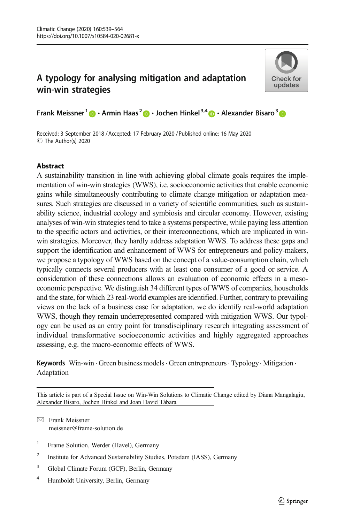# A typology for analysing mitigation and adaptation win-win strategies



Frank Meissner<sup>1</sup>  $\mathbf{D} \cdot$  Armin Haas<sup>2</sup>  $\mathbf{D} \cdot$  Jochen Hinkel<sup>3,4</sup>  $\mathbf{D} \cdot$  Alexander Bisaro<sup>3</sup>  $\mathbf{D}$ 

Received: 3 September 2018 / Accepted: 17 February 2020 /Published online: 16 May 2020 C The Author(s) 2020

# Abstract

A sustainability transition in line with achieving global climate goals requires the implementation of win-win strategies (WWS), i.e. socioeconomic activities that enable economic gains while simultaneously contributing to climate change mitigation or adaptation measures. Such strategies are discussed in a variety of scientific communities, such as sustainability science, industrial ecology and symbiosis and circular economy. However, existing analyses of win-win strategies tend to take a systems perspective, while paying less attention to the specific actors and activities, or their interconnections, which are implicated in winwin strategies. Moreover, they hardly address adaptation WWS. To address these gaps and support the identification and enhancement of WWS for entrepreneurs and policy-makers, we propose a typology of WWS based on the concept of a value-consumption chain, which typically connects several producers with at least one consumer of a good or service. A consideration of these connections allows an evaluation of economic effects in a mesoeconomic perspective. We distinguish 34 different types of WWS of companies, households and the state, for which 23 real-world examples are identified. Further, contrary to prevailing views on the lack of a business case for adaptation, we do identify real-world adaptation WWS, though they remain underrepresented compared with mitigation WWS. Our typology can be used as an entry point for transdisciplinary research integrating assessment of individual transformative socioeconomic activities and highly aggregated approaches assessing, e.g. the macro-economic effects of WWS.

Keywords Win-win . Green business models. Green entrepreneurs. Typology. Mitigation . Adaptation

This article is part of a Special Issue on Win-Win Solutions to Climatic Change edited by Diana Mangalagiu, Alexander Bisaro, Jochen Hinkel and Joan David Tàbara

 $\boxtimes$  Frank Meissner [meissner@frame-solution.de](mailto:meissner@frame-olution.de)

- <sup>1</sup> Frame Solution, Werder (Havel), Germany
- <sup>2</sup> Institute for Advanced Sustainability Studies, Potsdam (IASS), Germany
- <sup>3</sup> Global Climate Forum (GCF), Berlin, Germany
- <sup>4</sup> Humboldt University, Berlin, Germany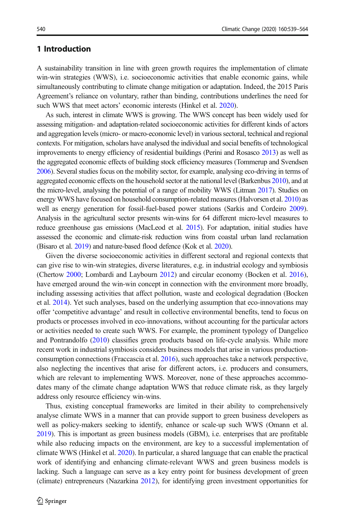# 1 Introduction

A sustainability transition in line with green growth requires the implementation of climate win-win strategies (WWS), i.e. socioeconomic activities that enable economic gains, while simultaneously contributing to climate change mitigation or adaptation. Indeed, the 2015 Paris Agreement's reliance on voluntary, rather than binding, contributions underlines the need for such WWS that meet actors' economic interests (Hinkel et al. [2020](#page-24-0)).

As such, interest in climate WWS is growing. The WWS concept has been widely used for assessing mitigation- and adaptation-related socioeconomic activities for different kinds of actors and aggregation levels (micro- or macro-economic level) in various sectoral, technical and regional contexts. For mitigation, scholars have analysed the individual and social benefits of technological improvements to energy efficiency of residential buildings (Perini and Rosasco [2013\)](#page-24-0) as well as the aggregated economic effects of building stock efficiency measures (Tommerup and Svendsen [2006\)](#page-25-0). Several studies focus on the mobility sector, for example, analysing eco-driving in terms of aggregated economic effects on the household sector at the national level (Barkenbus [2010](#page-23-0)), and at the micro-level, analysing the potential of a range of mobility WWS (Litman [2017\)](#page-24-0). Studies on energy WWS have focused on household consumption-related measures (Halvorsen et al. [2010](#page-24-0)) as well as energy generation for fossil-fuel-based power stations (Sarkis and Cordeiro [2009](#page-25-0)). Analysis in the agricultural sector presents win-wins for 64 different micro-level measures to reduce greenhouse gas emissions (MacLeod et al. [2015](#page-24-0)). For adaptation, initial studies have assessed the economic and climate-risk reduction wins from coastal urban land reclamation (Bisaro et al. [2019\)](#page-23-0) and nature-based flood defence (Kok et al. [2020](#page-24-0)).

Given the diverse socioeconomic activities in different sectoral and regional contexts that can give rise to win-win strategies, diverse literatures, e.g. in industrial ecology and symbiosis (Chertow [2000](#page-23-0); Lombardi and Laybourn [2012](#page-24-0)) and circular economy (Bocken et al. [2016](#page-23-0)), have emerged around the win-win concept in connection with the environment more broadly, including assessing activities that affect pollution, waste and ecological degradation (Bocken et al. [2014\)](#page-23-0). Yet such analyses, based on the underlying assumption that eco-innovations may offer 'competitive advantage' and result in collective environmental benefits, tend to focus on products or processes involved in eco-innovations, without accounting for the particular actors or activities needed to create such WWS. For example, the prominent typology of Dangelico and Pontrandolfo ([2010](#page-23-0)) classifies green products based on life-cycle analysis. While more recent work in industrial symbiosis considers business models that arise in various productionconsumption connections (Fraccascia et al. [2016\)](#page-23-0), such approaches take a network perspective, also neglecting the incentives that arise for different actors, i.e. producers and consumers, which are relevant to implementing WWS. Moreover, none of these approaches accommodates many of the climate change adaptation WWS that reduce climate risk, as they largely address only resource efficiency win-wins.

Thus, existing conceptual frameworks are limited in their ability to comprehensively analyse climate WWS in a manner that can provide support to green business developers as well as policy-makers seeking to identify, enhance or scale-up such WWS (Omann et al. [2019](#page-24-0)). This is important as green business models (GBM), i.e. enterprises that are profitable while also reducing impacts on the environment, are key to a successful implementation of climate WWS (Hinkel et al. [2020](#page-24-0)). In particular, a shared language that can enable the practical work of identifying and enhancing climate-relevant WWS and green business models is lacking. Such a language can serve as a key entry point for business development of green (climate) entrepreneurs (Nazarkina [2012\)](#page-24-0), for identifying green investment opportunities for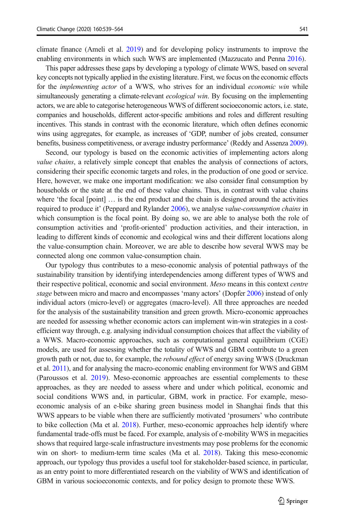climate finance (Ameli et al. [2019](#page-23-0)) and for developing policy instruments to improve the enabling environments in which such WWS are implemented (Mazzucato and Penna [2016\)](#page-24-0).

This paper addresses these gaps by developing a typology of climate WWS, based on several key concepts not typically applied in the existing literature. First, we focus on the economic effects for the *implementing actor* of a WWS, who strives for an individual *economic win* while simultaneously generating a climate-relevant *ecological win*. By focusing on the implementing actors, we are able to categorise heterogeneous WWS of different socioeconomic actors, i.e. state, companies and households, different actor-specific ambitions and roles and different resulting incentives. This stands in contrast with the economic literature, which often defines economic wins using aggregates, for example, as increases of 'GDP, number of jobs created, consumer benefits, business competitiveness, or average industry performance' (Reddy and Assenza [2009](#page-24-0)).

Second, our typology is based on the economic activities of implementing actors along value chains, a relatively simple concept that enables the analysis of connections of actors, considering their specific economic targets and roles, in the production of one good or service. Here, however, we make one important modification: we also consider final consumption by households or the state at the end of these value chains. Thus, in contrast with value chains where 'the focal [point] ... is the end product and the chain is designed around the activities required to produce it' (Peppard and Rylander [2006](#page-24-0)), we analyse *value-consumption chains* in which consumption is the focal point. By doing so, we are able to analyse both the role of consumption activities and 'profit-oriented' production activities, and their interaction, in leading to different kinds of economic and ecological wins and their different locations along the value-consumption chain. Moreover, we are able to describe how several WWS may be connected along one common value-consumption chain.

Our typology thus contributes to a meso-economic analysis of potential pathways of the sustainability transition by identifying interdependencies among different types of WWS and their respective political, economic and social environment. Meso means in this context *centre* stage between micro and macro and encompasses 'many actors' (Dopfer [2006](#page-23-0)) instead of only individual actors (micro-level) or aggregates (macro-level). All three approaches are needed for the analysis of the sustainability transition and green growth. Micro-economic approaches are needed for assessing whether economic actors can implement win-win strategies in a costefficient way through, e.g. analysing individual consumption choices that affect the viability of a WWS. Macro-economic approaches, such as computational general equilibrium (CGE) models, are used for assessing whether the totality of WWS and GBM contribute to a green growth path or not, due to, for example, the *rebound effect* of energy saving WWS (Druckman et al. [2011\)](#page-23-0), and for analysing the macro-economic enabling environment for WWS and GBM (Paroussos et al. [2019\)](#page-24-0). Meso-economic approaches are essential complements to these approaches, as they are needed to assess where and under which political, economic and social conditions WWS and, in particular, GBM, work in practice. For example, mesoeconomic analysis of an e-bike sharing green business model in Shanghai finds that this WWS appears to be viable when there are sufficiently motivated 'prosumers' who contribute to bike collection (Ma et al. [2018\)](#page-24-0). Further, meso-economic approaches help identify where fundamental trade-offs must be faced. For example, analysis of e-mobility WWS in megacities shows that required large-scale infrastructure investments may pose problems for the economic win on short- to medium-term time scales (Ma et al. [2018\)](#page-24-0). Taking this meso-economic approach, our typology thus provides a useful tool for stakeholder-based science, in particular, as an entry point to more differentiated research on the viability of WWS and identification of GBM in various socioeconomic contexts, and for policy design to promote these WWS.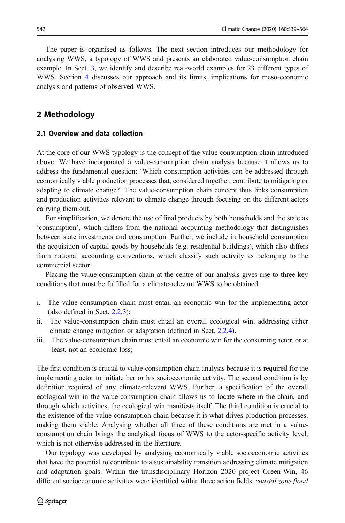<span id="page-3-0"></span>The paper is organised as follows. The next section introduces our methodology for analysing WWS, a typology of WWS and presents an elaborated value-consumption chain example. In Sect. [3](#page-10-0), we identify and describe real-world examples for 23 different types of WWS. Section [4](#page-19-0) discusses our approach and its limits, implications for meso-economic analysis and patterns of observed WWS.

### 2 Methodology

### 2.1 Overview and data collection

At the core of our WWS typology is the concept of the value-consumption chain introduced above. We have incorporated a value-consumption chain analysis because it allows us to address the fundamental question: 'Which consumption activities can be addressed through economically viable production processes that, considered together, contribute to mitigating or adapting to climate change?' The value-consumption chain concept thus links consumption and production activities relevant to climate change through focusing on the different actors carrying them out.

For simplification, we denote the use of final products by both households and the state as 'consumption', which differs from the national accounting methodology that distinguishes between state investments and consumption. Further, we include in household consumption the acquisition of capital goods by households (e.g. residential buildings), which also differs from national accounting conventions, which classify such activity as belonging to the commercial sector.

Placing the value-consumption chain at the centre of our analysis gives rise to three key conditions that must be fulfilled for a climate-relevant WWS to be obtained:

- i. The value-consumption chain must entail an economic win for the implementing actor (also defined in Sect. [2.2.3\)](#page-7-0);
- ii. The value-consumption chain must entail an overall ecological win, addressing either climate change mitigation or adaptation (defined in Sect. [2.2.4\)](#page-8-0).
- iii. The value-consumption chain must entail an economic win for the consuming actor, or at least, not an economic loss;

The first condition is crucial to value-consumption chain analysis because it is required for the implementing actor to initiate her or his socioeconomic activity. The second condition is by definition required of any climate-relevant WWS. Further, a specification of the overall ecological win in the value-consumption chain allows us to locate where in the chain, and through which activities, the ecological win manifests itself. The third condition is crucial to the existence of the value-consumption chain because it is what drives production processes, making them viable. Analysing whether all three of these conditions are met in a valueconsumption chain brings the analytical focus of WWS to the actor-specific activity level, which is not otherwise addressed in the literature.

Our typology was developed by analysing economically viable socioeconomic activities that have the potential to contribute to a sustainability transition addressing climate mitigation and adaptation goals. Within the transdisciplinary Horizon 2020 project Green-Win, 46 different socioeconomic activities were identified within three action fields, *coastal zone flood*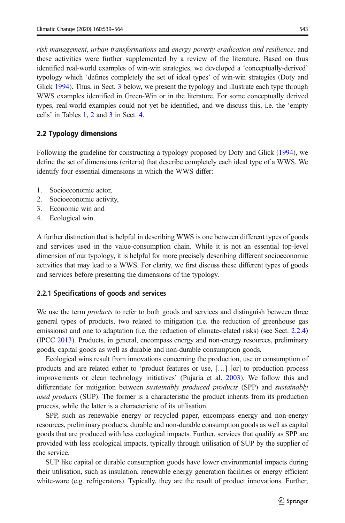risk management, urban transformations and energy poverty eradication and resilience, and these activities were further supplemented by a review of the literature. Based on thus identified real-world examples of win-win strategies, we developed a 'conceptually-derived' typology which 'defines completely the set of ideal types' of win-win strategies (Doty and Glick [1994](#page-23-0)). Thus, in Sect. [3](#page-10-0) below, we present the typology and illustrate each type through WWS examples identified in Green-Win or in the literature. For some conceptually derived types, real-world examples could not yet be identified, and we discuss this, i.e. the 'empty cells' in Tables [1](#page-11-0), [2](#page-15-0) and [3](#page-18-0) in Sect. [4.](#page-19-0)

### 2.2 Typology dimensions

Following the guideline for constructing a typology proposed by Doty and Glick [\(1994\)](#page-23-0), we define the set of dimensions (criteria) that describe completely each ideal type of a WWS. We identify four essential dimensions in which the WWS differ:

- 1. Socioeconomic actor,
- 2. Socioeconomic activity,
- 3. Economic win and
- 4. Ecological win.

A further distinction that is helpful in describing WWS is one between different types of goods and services used in the value-consumption chain. While it is not an essential top-level dimension of our typology, it is helpful for more precisely describing different socioeconomic activities that may lead to a WWS. For clarity, we first discuss these different types of goods and services before presenting the dimensions of the typology.

### 2.2.1 Specifications of goods and services

We use the term *products* to refer to both goods and services and distinguish between three general types of products, two related to mitigation (i.e. the reduction of greenhouse gas emissions) and one to adaptation (i.e. the reduction of climate-related risks) (see Sect. [2.2.4\)](#page-8-0) (IPCC [2013\)](#page-24-0). Products, in general, encompass energy and non-energy resources, preliminary goods, capital goods as well as durable and non-durable consumption goods.

Ecological wins result from innovations concerning the production, use or consumption of products and are related either to 'product features or use, […] [or] to production process improvements or clean technology initiatives' (Pujaria et al. [2003](#page-24-0)). We follow this and differentiate for mitigation between *sustainably produced products* (SPP) and *sustainably* used products (SUP). The former is a characteristic the product inherits from its production process, while the latter is a characteristic of its utilisation.

SPP, such as renewable energy or recycled paper, encompass energy and non-energy resources, preliminary products, durable and non-durable consumption goods as well as capital goods that are produced with less ecological impacts. Further, services that qualify as SPP are provided with less ecological impacts, typically through utilisation of SUP by the supplier of the service.

SUP like capital or durable consumption goods have lower environmental impacts during their utilisation, such as insulation, renewable energy generation facilities or energy efficient white-ware (e.g. refrigerators). Typically, they are the result of product innovations. Further,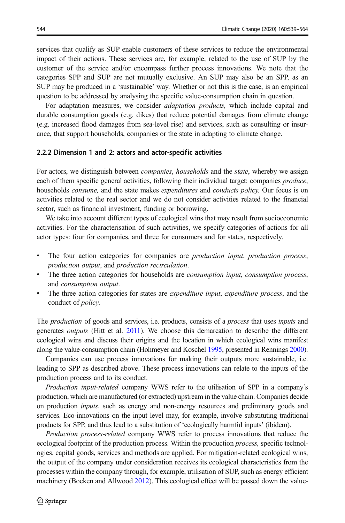services that qualify as SUP enable customers of these services to reduce the environmental impact of their actions. These services are, for example, related to the use of SUP by the customer of the service and/or encompass further process innovations. We note that the categories SPP and SUP are not mutually exclusive. An SUP may also be an SPP, as an SUP may be produced in a 'sustainable' way. Whether or not this is the case, is an empirical question to be addressed by analysing the specific value-consumption chain in question.

For adaptation measures, we consider *adaptation products*, which include capital and durable consumption goods (e.g. dikes) that reduce potential damages from climate change (e.g. increased flood damages from sea-level rise) and services, such as consulting or insurance, that support households, companies or the state in adapting to climate change.

#### 2.2.2 Dimension 1 and 2: actors and actor-specific activities

For actors, we distinguish between *companies*, *households* and the *state*, whereby we assign each of them specific general activities, following their individual target: companies *produce*, households *consume*, and the state makes *expenditures* and *conducts policy*. Our focus is on activities related to the real sector and we do not consider activities related to the financial sector, such as financial investment, funding or borrowing.

We take into account different types of ecological wins that may result from socioeconomic activities. For the characterisation of such activities, we specify categories of actions for all actor types: four for companies, and three for consumers and for states, respectively.

- & The four action categories for companies are production input, production process, production output, and production recirculation.
- The three action categories for households are *consumption input, consumption process*, and consumption output.
- The three action categories for states are *expenditure input, expenditure process*, and the conduct of *policy*.

The production of goods and services, i.e. products, consists of a process that uses inputs and generates outputs (Hitt et al. [2011](#page-24-0)). We choose this demarcation to describe the different ecological wins and discuss their origins and the location in which ecological wins manifest along the value-consumption chain (Hohmeyer and Koschel [1995,](#page-24-0) presented in Rennings [2000](#page-25-0)).

Companies can use process innovations for making their outputs more sustainable, i.e. leading to SPP as described above. These process innovations can relate to the inputs of the production process and to its conduct.

Production input-related company WWS refer to the utilisation of SPP in a company's production, which are manufactured (or extracted) upstream in the value chain. Companies decide on production *inputs*, such as energy and non-energy resources and preliminary goods and services. Eco-innovations on the input level may, for example, involve substituting traditional products for SPP, and thus lead to a substitution of 'ecologically harmful inputs' (ibidem).

Production process-related company WWS refer to process innovations that reduce the ecological footprint of the production process. Within the production *process*, specific technologies, capital goods, services and methods are applied. For mitigation-related ecological wins, the output of the company under consideration receives its ecological characteristics from the processes within the company through, for example, utilisation of SUP, such as energy efficient machinery (Bocken and Allwood [2012](#page-23-0)). This ecological effect will be passed down the value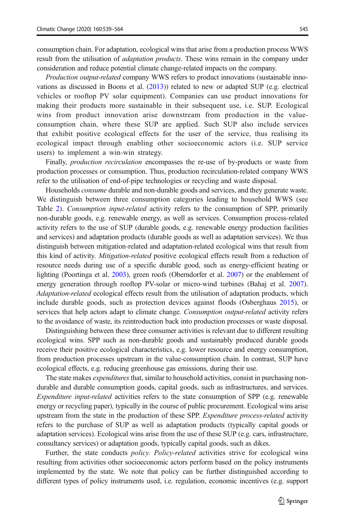consumption chain. For adaptation, ecological wins that arise from a production process WWS result from the utilisation of *adaptation products*. These wins remain in the company under consideration and reduce potential climate change-related impacts on the company.

Production output-related company WWS refers to product innovations (sustainable innovations as discussed in Boons et al. [\(2013\)](#page-23-0)) related to new or adapted SUP (e.g. electrical vehicles or rooftop PV solar equipment). Companies can use product innovations for making their products more sustainable in their subsequent use, i.e. SUP. Ecological wins from product innovation arise downstream from production in the valueconsumption chain, where these SUP are applied. Such SUP also include services that exhibit positive ecological effects for the user of the service, thus realising its ecological impact through enabling other socioeconomic actors (i.e. SUP service users) to implement a win-win strategy.

Finally, production recirculation encompasses the re-use of by-products or waste from production processes or consumption. Thus, production recirculation-related company WWS refer to the utilisation of end-of-pipe technologies or recycling and waste disposal.

Households consume durable and non-durable goods and services, and they generate waste. We distinguish between three consumption categories leading to household WWS (see Table [2\)](#page-15-0). Consumption input-related activity refers to the consumption of SPP, primarily non-durable goods, e.g. renewable energy, as well as services. Consumption process-related activity refers to the use of SUP (durable goods, e.g. renewable energy production facilities and services) and adaptation products (durable goods as well as adaptation services). We thus distinguish between mitigation-related and adaptation-related ecological wins that result from this kind of activity. Mitigation-related positive ecological effects result from a reduction of resource needs during use of a specific durable good, such as energy-efficient heating or lighting (Poortinga et al. [2003](#page-24-0)), green roofs (Oberndorfer et al. [2007\)](#page-24-0) or the enablement of energy generation through rooftop PV-solar or micro-wind turbines (Bahaj et al. [2007](#page-23-0)). Adaptation-related ecological effects result from the utilisation of adaptation products, which include durable goods, such as protection devices against floods (Osberghaus [2015](#page-24-0)), or services that help actors adapt to climate change. Consumption output-related activity refers to the avoidance of waste, its reintroduction back into production processes or waste disposal.

Distinguishing between these three consumer activities is relevant due to different resulting ecological wins. SPP such as non-durable goods and sustainably produced durable goods receive their positive ecological characteristics, e.g. lower resource and energy consumption, from production processes upstream in the value-consumption chain. In contrast, SUP have ecological effects, e.g. reducing greenhouse gas emissions, during their use.

The state makes *expenditures* that, similar to household activities, consist in purchasing nondurable and durable consumption goods, capital goods, such as infrastructures, and services. Expenditure input-related activities refers to the state consumption of SPP (e.g. renewable energy or recycling paper), typically in the course of public procurement. Ecological wins arise upstream from the state in the production of these SPP. *Expenditure process-related* activity refers to the purchase of SUP as well as adaptation products (typically capital goods or adaptation services). Ecological wins arise from the use of these SUP (e.g. cars, infrastructure, consultancy services) or adaptation goods, typically capital goods, such as dikes.

Further, the state conducts *policy. Policy-related* activities strive for ecological wins resulting from activities other socioeconomic actors perform based on the policy instruments implemented by the state. We note that policy can be further distinguished according to different types of policy instruments used, i.e. regulation, economic incentives (e.g. support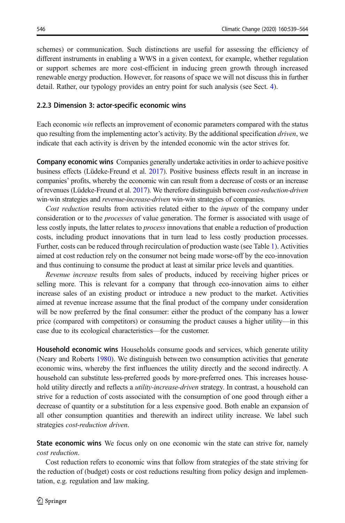<span id="page-7-0"></span>schemes) or communication. Such distinctions are useful for assessing the efficiency of different instruments in enabling a WWS in a given context, for example, whether regulation or support schemes are more cost-efficient in inducing green growth through increased renewable energy production. However, for reasons of space we will not discuss this in further detail. Rather, our typology provides an entry point for such analysis (see Sect. [4\)](#page-19-0).

#### 2.2.3 Dimension 3: actor-specific economic wins

Each economic win reflects an improvement of economic parameters compared with the status quo resulting from the implementing actor's activity. By the additional specification *driven*, we indicate that each activity is driven by the intended economic win the actor strives for.

Company economic wins Companies generally undertake activities in order to achieve positive business effects (Lüdeke-Freund et al. [2017\)](#page-24-0). Positive business effects result in an increase in companies' profits, whereby the economic win can result from a decrease of costs or an increase of revenues (Lüdeke-Freund et al. [2017\)](#page-24-0). We therefore distinguish between cost-reduction-driven win-win strategies and *revenue-increase-driven* win-win strategies of companies.

Cost reduction results from activities related either to the *inputs* of the company under consideration or to the *processes* of value generation. The former is associated with usage of less costly inputs, the latter relates to process innovations that enable a reduction of production costs, including product innovations that in turn lead to less costly production processes. Further, costs can be reduced through recirculation of production waste (see Table [1](#page-11-0)). Activities aimed at cost reduction rely on the consumer not being made worse-off by the eco-innovation and thus continuing to consume the product at least at similar price levels and quantities.

Revenue increase results from sales of products, induced by receiving higher prices or selling more. This is relevant for a company that through eco-innovation aims to either increase sales of an existing product or introduce a new product to the market. Activities aimed at revenue increase assume that the final product of the company under consideration will be now preferred by the final consumer: either the product of the company has a lower price (compared with competitors) or consuming the product causes a higher utility—in this case due to its ecological characteristics—for the customer.

Household economic wins Households consume goods and services, which generate utility (Neary and Roberts [1980\)](#page-24-0). We distinguish between two consumption activities that generate economic wins, whereby the first influences the utility directly and the second indirectly. A household can substitute less-preferred goods by more-preferred ones. This increases household utility directly and reflects a *utility-increase-driven* strategy. In contrast, a household can strive for a reduction of costs associated with the consumption of one good through either a decrease of quantity or a substitution for a less expensive good. Both enable an expansion of all other consumption quantities and therewith an indirect utility increase. We label such strategies cost-reduction driven.

**State economic wins** We focus only on one economic win the state can strive for, namely cost reduction.

Cost reduction refers to economic wins that follow from strategies of the state striving for the reduction of (budget) costs or cost reductions resulting from policy design and implementation, e.g. regulation and law making.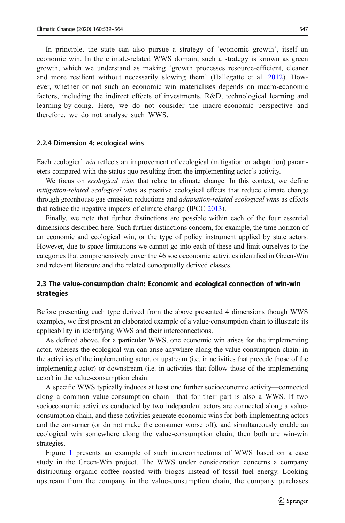<span id="page-8-0"></span>In principle, the state can also pursue a strategy of 'economic growth', itself an economic win. In the climate-related WWS domain, such a strategy is known as green growth, which we understand as making 'growth processes resource-efficient, cleaner and more resilient without necessarily slowing them' (Hallegatte et al. [2012\)](#page-23-0). However, whether or not such an economic win materialises depends on macro-economic factors, including the indirect effects of investments, R&D, technological learning and learning-by-doing. Here, we do not consider the macro-economic perspective and therefore, we do not analyse such WWS.

### 2.2.4 Dimension 4: ecological wins

Each ecological win reflects an improvement of ecological (mitigation or adaptation) parameters compared with the status quo resulting from the implementing actor's activity.

We focus on *ecological wins* that relate to climate change. In this context, we define mitigation-related ecological wins as positive ecological effects that reduce climate change through greenhouse gas emission reductions and *adaptation-related ecological wins* as effects that reduce the negative impacts of climate change (IPCC [2013\)](#page-24-0).

Finally, we note that further distinctions are possible within each of the four essential dimensions described here. Such further distinctions concern, for example, the time horizon of an economic and ecological win, or the type of policy instrument applied by state actors. However, due to space limitations we cannot go into each of these and limit ourselves to the categories that comprehensively cover the 46 socioeconomic activities identified in Green-Win and relevant literature and the related conceptually derived classes.

# 2.3 The value-consumption chain: Economic and ecological connection of win-win strategies

Before presenting each type derived from the above presented 4 dimensions though WWS examples, we first present an elaborated example of a value-consumption chain to illustrate its applicability in identifying WWS and their interconnections.

As defined above, for a particular WWS, one economic win arises for the implementing actor, whereas the ecological win can arise anywhere along the value-consumption chain: in the activities of the implementing actor, or upstream (i.e. in activities that precede those of the implementing actor) or downstream (i.e. in activities that follow those of the implementing actor) in the value-consumption chain.

A specific WWS typically induces at least one further socioeconomic activity—connected along a common value-consumption chain—that for their part is also a WWS. If two socioeconomic activities conducted by two independent actors are connected along a valueconsumption chain, and these activities generate economic wins for both implementing actors and the consumer (or do not make the consumer worse off), and simultaneously enable an ecological win somewhere along the value-consumption chain, then both are win-win strategies.

Figure [1](#page-9-0) presents an example of such interconnections of WWS based on a case study in the Green-Win project. The WWS under consideration concerns a company distributing organic coffee roasted with biogas instead of fossil fuel energy. Looking upstream from the company in the value-consumption chain, the company purchases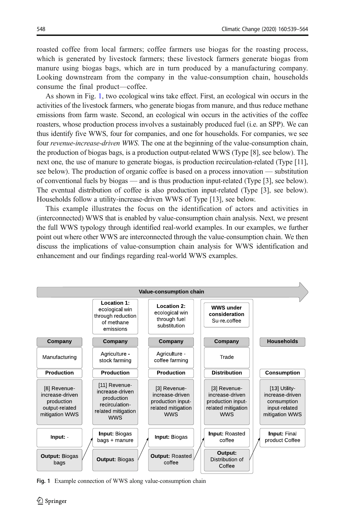<span id="page-9-0"></span>roasted coffee from local farmers; coffee farmers use biogas for the roasting process, which is generated by livestock farmers; these livestock farmers generate biogas from manure using biogas bags, which are in turn produced by a manufacturing company. Looking downstream from the company in the value-consumption chain, households consume the final product—coffee.

As shown in Fig. 1, two ecological wins take effect. First, an ecological win occurs in the activities of the livestock farmers, who generate biogas from manure, and thus reduce methane emissions from farm waste. Second, an ecological win occurs in the activities of the coffee roasters, whose production process involves a sustainably produced fuel (i.e. an SPP). We can thus identify five WWS, four for companies, and one for households. For companies, we see four *revenue-increase-driven WWS*. The one at the beginning of the value-consumption chain, the production of biogas bags, is a production output-related WWS (Type [8], see below). The next one, the use of manure to generate biogas, is production recirculation-related (Type [11], see below). The production of organic coffee is based on a process innovation — substitution of conventional fuels by biogas — and is thus production input-related (Type [3], see below). The eventual distribution of coffee is also production input-related (Type [3], see below). Households follow a utility-increase-driven WWS of Type [13], see below.

This example illustrates the focus on the identification of actors and activities in (interconnected) WWS that is enabled by value-consumption chain analysis. Next, we present the full WWS typology through identified real-world examples. In our examples, we further point out where other WWS are interconnected through the value-consumption chain. We then discuss the implications of value-consumption chain analysis for WWS identification and enhancement and our findings regarding real-world WWS examples.



Fig. 1 Example connection of WWS along value-consumption chain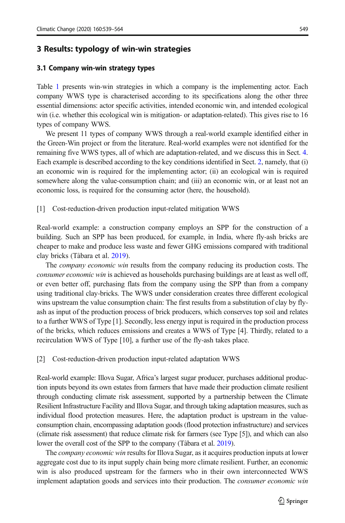### <span id="page-10-0"></span>3 Results: typology of win-win strategies

### 3.1 Company win-win strategy types

Table [1](#page-11-0) presents win-win strategies in which a company is the implementing actor. Each company WWS type is characterised according to its specifications along the other three essential dimensions: actor specific activities, intended economic win, and intended ecological win (i.e. whether this ecological win is mitigation- or adaptation-related). This gives rise to 16 types of company WWS.

We present 11 types of company WWS through a real-world example identified either in the Green-Win project or from the literature. Real-world examples were not identified for the remaining five WWS types, all of which are adaptation-related, and we discuss this in Sect. [4](#page-19-0). Each example is described according to the key conditions identified in Sect. [2](#page-3-0), namely, that (i) an economic win is required for the implementing actor; (ii) an ecological win is required somewhere along the value-consumption chain; and (iii) an economic win, or at least not an economic loss, is required for the consuming actor (here, the household).

[1] Cost-reduction-driven production input-related mitigation WWS

Real-world example: a construction company employs an SPP for the construction of a building. Such an SPP has been produced, for example, in India, where fly-ash bricks are cheaper to make and produce less waste and fewer GHG emissions compared with traditional clay bricks (Tàbara et al. [2019](#page-25-0)).

The company economic win results from the company reducing its production costs. The consumer economic win is achieved as households purchasing buildings are at least as well off, or even better off, purchasing flats from the company using the SPP than from a company using traditional clay-bricks. The WWS under consideration creates three different ecological wins upstream the value consumption chain: The first results from a substitution of clay by flyash as input of the production process of brick producers, which conserves top soil and relates to a further WWS of Type [1]. Secondly, less energy input is required in the production process of the bricks, which reduces emissions and creates a WWS of Type [4]. Thirdly, related to a recirculation WWS of Type [10], a further use of the fly-ash takes place.

[2] Cost-reduction-driven production input-related adaptation WWS

Real-world example: Illova Sugar, Africa's largest sugar producer, purchases additional production inputs beyond its own estates from farmers that have made their production climate resilient through conducting climate risk assessment, supported by a partnership between the Climate Resilient Infrastructure Facility and Illova Sugar, and through taking adaptation measures, such as individual flood protection measures. Here, the adaptation product is upstream in the valueconsumption chain, encompassing adaptation goods (flood protection infrastructure) and services (climate risk assessment) that reduce climate risk for farmers (see Type [5]), and which can also lower the overall cost of the SPP to the company (Tàbara et al. [2019](#page-25-0)).

The company economic win results for Illova Sugar, as it acquires production inputs at lower aggregate cost due to its input supply chain being more climate resilient. Further, an economic win is also produced upstream for the farmers who in their own interconnected WWS implement adaptation goods and services into their production. The *consumer economic win*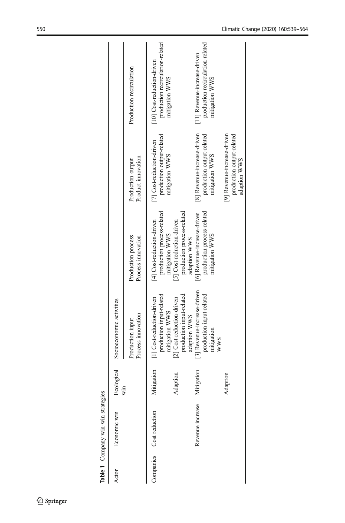<span id="page-11-0"></span>

|       | Table 1 Company win-win strategies |                        |                                                                                                      |                                                                                                       |                                                                            |                                                                                    |
|-------|------------------------------------|------------------------|------------------------------------------------------------------------------------------------------|-------------------------------------------------------------------------------------------------------|----------------------------------------------------------------------------|------------------------------------------------------------------------------------|
| Actor | Economic win                       | Ecological<br>win      | Socioeconomic activities                                                                             |                                                                                                       |                                                                            |                                                                                    |
|       |                                    |                        | Process innovation<br>Production input                                                               | Production process<br>Process innovation                                                              | Product innovation<br>Production output                                    | Production recirculation                                                           |
|       | Companies Cost reduction           | Mitigation<br>Adaption | production input-related<br>[1] Cost-reduction-driven<br>[2] Cost-reduction-driven<br>mitigation WWS | production process-related<br>[4] Cost-reduction-driven<br>5] Cost-reduction-driven<br>mitigation WWS | production output-related<br>[7] Cost-reduction-driven<br>mitigation WWS   | production recirculation-related<br>[10] Cost-reduction-driven<br>mitigation WWS   |
|       |                                    |                        | production input-related<br>adaption WWS                                                             | production process-related<br>adaption WWS                                                            |                                                                            |                                                                                    |
|       | Revenue increase                   | Mitigation             | [3] Revenue-increase-driven<br>production input-related<br>mitigation<br><b>WWS</b>                  | production process-related<br>[6] Revenue-increase-driven<br>mitigation WWS                           | [8] Revenue-increase-driven<br>production output-related<br>mitigation WWS | production recirculation-related<br>[11] Revenue-increase-driven<br>mitigation WWS |
|       |                                    | Adaption               |                                                                                                      |                                                                                                       | [9] Revenue-increase-driven<br>production output-related<br>adaption WWS   |                                                                                    |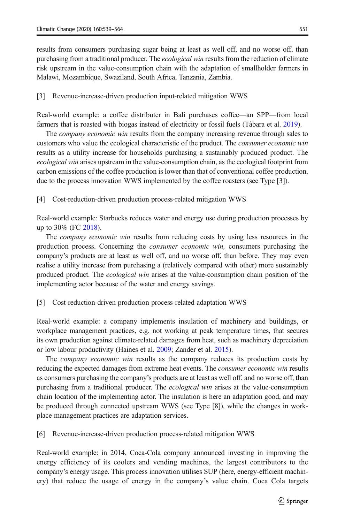results from consumers purchasing sugar being at least as well off, and no worse off, than purchasing from a traditional producer. The *ecological win* results from the reduction of climate risk upstream in the value-consumption chain with the adaptation of smallholder farmers in Malawi, Mozambique, Swaziland, South Africa, Tanzania, Zambia.

[3] Revenue-increase-driven production input-related mitigation WWS

Real-world example: a coffee distributer in Bali purchases coffee—an SPP—from local farmers that is roasted with biogas instead of electricity or fossil fuels (Tàbara et al. [2019\)](#page-25-0).

The company economic win results from the company increasing revenue through sales to customers who value the ecological characteristic of the product. The consumer economic win results as a utility increase for households purchasing a sustainably produced product. The ecological win arises upstream in the value-consumption chain, as the ecological footprint from carbon emissions of the coffee production is lower than that of conventional coffee production, due to the process innovation WWS implemented by the coffee roasters (see Type [3]).

[4] Cost-reduction-driven production process-related mitigation WWS

Real-world example: Starbucks reduces water and energy use during production processes by up to  $30\%$  (FC [2018](#page-23-0)).

The company economic win results from reducing costs by using less resources in the production process. Concerning the consumer economic win, consumers purchasing the company's products are at least as well off, and no worse off, than before. They may even realise a utility increase from purchasing a (relatively compared with other) more sustainably produced product. The ecological win arises at the value-consumption chain position of the implementing actor because of the water and energy savings.

[5] Cost-reduction-driven production process-related adaptation WWS

Real-world example: a company implements insulation of machinery and buildings, or workplace management practices, e.g. not working at peak temperature times, that secures its own production against climate-related damages from heat, such as machinery depreciation or low labour productivity (Haines et al. [2009](#page-23-0); Zander et al. [2015\)](#page-25-0).

The *company economic win* results as the company reduces its production costs by reducing the expected damages from extreme heat events. The *consumer economic win* results as consumers purchasing the company's products are at least as well off, and no worse off, than purchasing from a traditional producer. The ecological win arises at the value-consumption chain location of the implementing actor. The insulation is here an adaptation good, and may be produced through connected upstream WWS (see Type [8]), while the changes in workplace management practices are adaptation services.

[6] Revenue-increase-driven production process-related mitigation WWS

Real-world example: in 2014, Coca-Cola company announced investing in improving the energy efficiency of its coolers and vending machines, the largest contributors to the company's energy usage. This process innovation utilises SUP (here, energy-efficient machinery) that reduce the usage of energy in the company's value chain. Coca Cola targets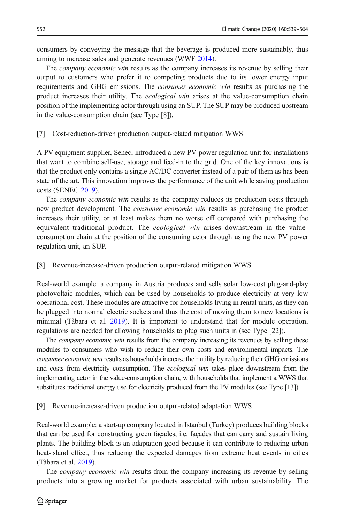consumers by conveying the message that the beverage is produced more sustainably, thus aiming to increase sales and generate revenues (WWF [2014](#page-25-0)).

The company economic win results as the company increases its revenue by selling their output to customers who prefer it to competing products due to its lower energy input requirements and GHG emissions. The consumer economic win results as purchasing the product increases their utility. The *ecological win* arises at the value-consumption chain position of the implementing actor through using an SUP. The SUP may be produced upstream in the value-consumption chain (see Type [8]).

#### [7] Cost-reduction-driven production output-related mitigation WWS

A PV equipment supplier, Senec, introduced a new PV power regulation unit for installations that want to combine self-use, storage and feed-in to the grid. One of the key innovations is that the product only contains a single AC/DC converter instead of a pair of them as has been state of the art. This innovation improves the performance of the unit while saving production costs (SENEC [2019](#page-25-0)).

The *company economic win* results as the company reduces its production costs through new product development. The consumer economic win results as purchasing the product increases their utility, or at least makes them no worse off compared with purchasing the equivalent traditional product. The *ecological win* arises downstream in the valueconsumption chain at the position of the consuming actor through using the new PV power regulation unit, an SUP.

#### [8] Revenue-increase-driven production output-related mitigation WWS

Real-world example: a company in Austria produces and sells solar low-cost plug-and-play photovoltaic modules, which can be used by households to produce electricity at very low operational cost. These modules are attractive for households living in rental units, as they can be plugged into normal electric sockets and thus the cost of moving them to new locations is minimal (Tàbara et al. [2019](#page-25-0)). It is important to understand that for module operation, regulations are needed for allowing households to plug such units in (see Type [22]).

The *company economic win* results from the company increasing its revenues by selling these modules to consumers who wish to reduce their own costs and environmental impacts. The consumer economic win results as households increase their utility by reducing their GHG emissions and costs from electricity consumption. The ecological win takes place downstream from the implementing actor in the value-consumption chain, with households that implement a WWS that substitutes traditional energy use for electricity produced from the PV modules (see Type [13]).

[9] Revenue-increase-driven production output-related adaptation WWS

Real-world example: a start-up company located in Istanbul (Turkey) produces building blocks that can be used for constructing green façades, i.e. façades that can carry and sustain living plants. The building block is an adaptation good because it can contribute to reducing urban heat-island effect, thus reducing the expected damages from extreme heat events in cities (Tàbara et al. [2019](#page-25-0)).

The *company economic win* results from the company increasing its revenue by selling products into a growing market for products associated with urban sustainability. The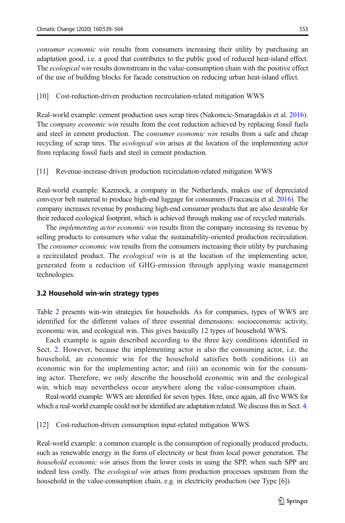consumer economic win results from consumers increasing their utility by purchasing an adaptation good, i.e. a good that contributes to the public good of reduced heat-island effect. The ecological win results downstream in the value-consumption chain with the positive effect of the use of building blocks for facade construction on reducing urban heat-island effect.

[10] Cost-reduction-driven production recirculation-related mitigation WWS

Real-world example: cement production uses scrap tires (Nakomcic-Smaragdakis et al. [2016](#page-24-0)). The company economic win results from the cost reduction achieved by replacing fossil fuels and steel in cement production. The *consumer economic win* results from a safe and cheap recycling of scrap tires. The ecological win arises at the location of the implementing actor from replacing fossil fuels and steel in cement production.

[11] Revenue-increase-driven production recirculation-related mitigation WWS

Real-world example: Kazmock, a company in the Netherlands, makes use of depreciated conveyor belt material to produce high-end luggage for consumers (Fraccascia et al. [2016\)](#page-23-0). The company increases revenue by producing high-end consumer products that are also desirable for their reduced ecological footprint, which is achieved through making use of recycled materials.

The *implementing actor economic win* results from the company increasing its revenue by selling products to consumers who value the sustainability-oriented production recirculation. The *consumer economic win* results from the consumers increasing their utility by purchasing a recirculated product. The *ecological win* is at the location of the implementing actor, generated from a reduction of GHG-emission through applying waste management technologies.

#### 3.2 Household win-win strategy types

Table [2](#page-15-0) presents win-win strategies for households. As for companies, types of WWS are identified for the different values of three essential dimensions: socioeconomic activity, economic win, and ecological win. This gives basically 12 types of household WWS.

Each example is again described according to the three key conditions identified in Sect. [2](#page-3-0). However, because the implementing actor is also the consuming actor, i.e. the household, an economic win for the household satisfies both conditions (i) an economic win for the implementing actor; and (iii) an economic win for the consuming actor. Therefore, we only describe the household economic win and the ecological win, which may nevertheless occur anywhere along the value-consumption chain.

Real-world example: WWS are identified for seven types. Here, once again, all five WWS for which a real-world example could not be identified are adaptation related. We discuss this in Sect. [4](#page-19-0).

[12] Cost-reduction-driven consumption input-related mitigation WWS

Real-world example: a common example is the consumption of regionally produced products, such as renewable energy in the form of electricity or heat from local power generation. The household economic win arises from the lower costs in using the SPP, when such SPP are indeed less costly. The *ecological win* arises from production processes upstream from the household in the value-consumption chain, e.g. in electricity production (see Type [6]).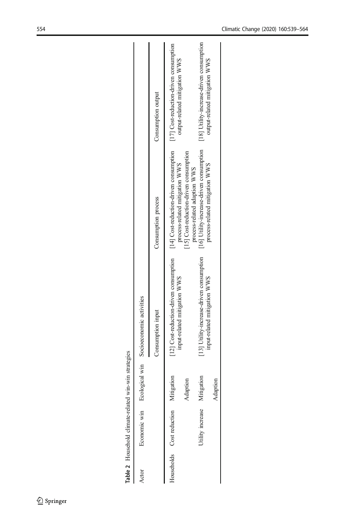<span id="page-15-0"></span>

|       | Table 2 Household climate-related win-win strategies |            |                                                                          |                                                                                                                                                           |                                                                           |
|-------|------------------------------------------------------|------------|--------------------------------------------------------------------------|-----------------------------------------------------------------------------------------------------------------------------------------------------------|---------------------------------------------------------------------------|
| Actor | Economic win                                         |            | Ecological win Socioeconomic activities                                  |                                                                                                                                                           |                                                                           |
|       |                                                      |            | Consumption input                                                        | Consumption process                                                                                                                                       | Consumption output                                                        |
|       | Households Cost reduction Mitigation                 | Adaption   | [12] Cost-reduction-driven consumption<br>input-related mitigation WWS   | [14] Cost-reduction-driven consumption [17] Cost-reduction-driven consumption<br>[15] Cost-reduction-driven consumption<br>process-related mitigation WWS | output-related mitigation WWS                                             |
|       | Utility increase                                     | Mitigation | [13] Utility-increase-driven consumption<br>input-related mitigation WWS | [16] Utility-increase-driven consumption<br>process-related mitigation WWS<br>process-related adaption WWS                                                | [18] Utility-increase-driven consumption<br>output-related mitigation WWS |
|       |                                                      | Adaption   |                                                                          |                                                                                                                                                           |                                                                           |
|       |                                                      |            |                                                                          |                                                                                                                                                           |                                                                           |

| $\frac{1}{1}$<br>١                 |
|------------------------------------|
| ļ<br>۱<br>i<br>i                   |
| ۱<br>i                             |
|                                    |
| <br> <br> <br>$\ddot{\phantom{a}}$ |
| ï<br>ï<br>l                        |
| l<br>J                             |
| ۱                                  |
|                                    |
|                                    |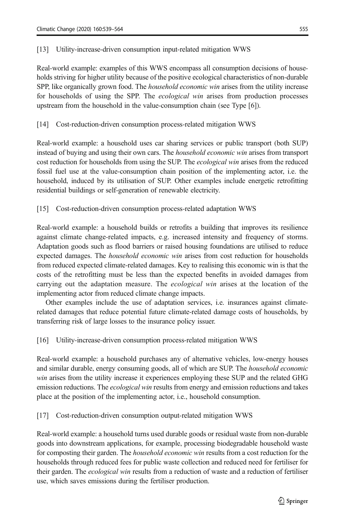# [13] Utility-increase-driven consumption input-related mitigation WWS

Real-world example: examples of this WWS encompass all consumption decisions of households striving for higher utility because of the positive ecological characteristics of non-durable SPP, like organically grown food. The *household economic win* arises from the utility increase for households of using the SPP. The ecological win arises from production processes upstream from the household in the value-consumption chain (see Type [6]).

# [14] Cost-reduction-driven consumption process-related mitigation WWS

Real-world example: a household uses car sharing services or public transport (both SUP) instead of buying and using their own cars. The household economic win arises from transport cost reduction for households from using the SUP. The *ecological win* arises from the reduced fossil fuel use at the value-consumption chain position of the implementing actor, i.e. the household, induced by its utilisation of SUP. Other examples include energetic retrofitting residential buildings or self-generation of renewable electricity.

# [15] Cost-reduction-driven consumption process-related adaptation WWS

Real-world example: a household builds or retrofits a building that improves its resilience against climate change-related impacts, e.g. increased intensity and frequency of storms. Adaptation goods such as flood barriers or raised housing foundations are utilised to reduce expected damages. The *household economic win* arises from cost reduction for households from reduced expected climate-related damages. Key to realising this economic win is that the costs of the retrofitting must be less than the expected benefits in avoided damages from carrying out the adaptation measure. The *ecological win* arises at the location of the implementing actor from reduced climate change impacts.

Other examples include the use of adaptation services, i.e. insurances against climaterelated damages that reduce potential future climate-related damage costs of households, by transferring risk of large losses to the insurance policy issuer.

# [16] Utility-increase-driven consumption process-related mitigation WWS

Real-world example: a household purchases any of alternative vehicles, low-energy houses and similar durable, energy consuming goods, all of which are SUP. The household economic win arises from the utility increase it experiences employing these SUP and the related GHG emission reductions. The *ecological win* results from energy and emission reductions and takes place at the position of the implementing actor, i.e., household consumption.

# [17] Cost-reduction-driven consumption output-related mitigation WWS

Real-world example: a household turns used durable goods or residual waste from non-durable goods into downstream applications, for example, processing biodegradable household waste for composting their garden. The *household economic win* results from a cost reduction for the households through reduced fees for public waste collection and reduced need for fertiliser for their garden. The ecological win results from a reduction of waste and a reduction of fertiliser use, which saves emissions during the fertiliser production.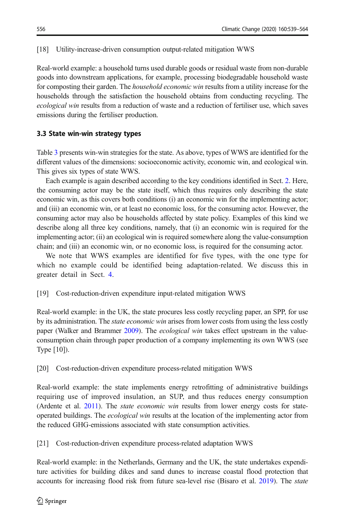### [18] Utility-increase-driven consumption output-related mitigation WWS

Real-world example: a household turns used durable goods or residual waste from non-durable goods into downstream applications, for example, processing biodegradable household waste for composting their garden. The *household economic win* results from a utility increase for the households through the satisfaction the household obtains from conducting recycling. The ecological win results from a reduction of waste and a reduction of fertiliser use, which saves emissions during the fertiliser production.

#### 3.3 State win-win strategy types

Table [3](#page-18-0) presents win-win strategies for the state. As above, types of WWS are identified for the different values of the dimensions: socioeconomic activity, economic win, and ecological win. This gives six types of state WWS.

Each example is again described according to the key conditions identified in Sect. [2.](#page-3-0) Here, the consuming actor may be the state itself, which thus requires only describing the state economic win, as this covers both conditions (i) an economic win for the implementing actor; and (iii) an economic win, or at least no economic loss, for the consuming actor. However, the consuming actor may also be households affected by state policy. Examples of this kind we describe along all three key conditions, namely, that (i) an economic win is required for the implementing actor; (ii) an ecological win is required somewhere along the value-consumption chain; and (iii) an economic win, or no economic loss, is required for the consuming actor.

We note that WWS examples are identified for five types, with the one type for which no example could be identified being adaptation-related. We discuss this in greater detail in Sect. [4.](#page-19-0)

[19] Cost-reduction-driven expenditure input-related mitigation WWS

Real-world example: in the UK, the state procures less costly recycling paper, an SPP, for use by its administration. The *state economic win* arises from lower costs from using the less costly paper (Walker and Brammer [2009\)](#page-25-0). The *ecological win* takes effect upstream in the valueconsumption chain through paper production of a company implementing its own WWS (see Type [10]).

[20] Cost-reduction-driven expenditure process-related mitigation WWS

Real-world example: the state implements energy retrofitting of administrative buildings requiring use of improved insulation, an SUP, and thus reduces energy consumption (Ardente et al. [2011](#page-23-0)). The *state economic win* results from lower energy costs for stateoperated buildings. The ecological win results at the location of the implementing actor from the reduced GHG-emissions associated with state consumption activities.

[21] Cost-reduction-driven expenditure process-related adaptation WWS

Real-world example: in the Netherlands, Germany and the UK, the state undertakes expenditure activities for building dikes and sand dunes to increase coastal flood protection that accounts for increasing flood risk from future sea-level rise (Bisaro et al. [2019\)](#page-23-0). The state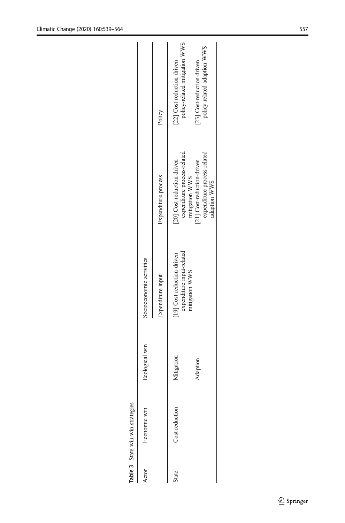| Ι<br>i       |
|--------------|
| ΞĒ<br>F<br>٦ |
|              |
| t            |

<span id="page-18-0"></span>

|       | Table 3 State win-win strategies |                |                                                         |                                                                                             |                                                             |
|-------|----------------------------------|----------------|---------------------------------------------------------|---------------------------------------------------------------------------------------------|-------------------------------------------------------------|
| Actor | Economic win                     | Ecological win | Socioeconomic activities                                |                                                                                             |                                                             |
|       |                                  |                | Expenditure input                                       | Expenditure process                                                                         | Policy                                                      |
| State | Cost reduction                   | Mitigation     | expenditure input-related<br>[19] Cost-reduction-driven | expenditure process-related<br>[20] Cost-reduction-driven                                   | policy-related mitigation WWS<br>[22] Cost-reduction-driven |
|       |                                  | Adaption       | mitigation WWS                                          | expenditure process-related<br>[21] Cost-reduction-driven<br>mitigation WWS<br>adaption WWS | policy-related adaption WWS<br>[23] Cost-reduction-driven   |
|       |                                  |                |                                                         |                                                                                             |                                                             |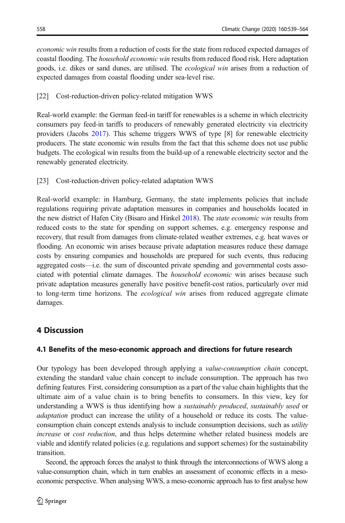<span id="page-19-0"></span>economic win results from a reduction of costs for the state from reduced expected damages of coastal flooding. The *household economic win* results from reduced flood risk. Here adaptation goods, i.e. dikes or sand dunes, are utilised. The *ecological win* arises from a reduction of expected damages from coastal flooding under sea-level rise.

[22] Cost-reduction-driven policy-related mitigation WWS

Real-world example: the German feed-in tariff for renewables is a scheme in which electricity consumers pay feed-in tariffs to producers of renewably generated electricity via electricity providers (Jacobs [2017](#page-24-0)). This scheme triggers WWS of type [8] for renewable electricity producers. The state economic win results from the fact that this scheme does not use public budgets. The ecological win results from the build-up of a renewable electricity sector and the renewably generated electricity.

[23] Cost-reduction-driven policy-related adaptation WWS

Real-world example: in Hamburg, Germany, the state implements policies that include regulations requiring private adaptation measures in companies and households located in the new district of Hafen City (Bisaro and Hinkel [2018\)](#page-23-0). The *state economic win* results from reduced costs to the state for spending on support schemes, e.g. emergency response and recovery, that result from damages from climate-related weather extremes, e.g. heat waves or flooding. An economic win arises because private adaptation measures reduce these damage costs by ensuring companies and households are prepared for such events, thus reducing aggregated costs—i.e. the sum of discounted private spending and governmental costs associated with potential climate damages. The household economic win arises because such private adaptation measures generally have positive benefit-cost ratios, particularly over mid to long-term time horizons. The *ecological win* arises from reduced aggregate climate damages.

# 4 Discussion

# 4.1 Benefits of the meso-economic approach and directions for future research

Our typology has been developed through applying a value-consumption chain concept, extending the standard value chain concept to include consumption. The approach has two defining features. First, considering consumption as a part of the value chain highlights that the ultimate aim of a value chain is to bring benefits to consumers. In this view, key for understanding a WWS is thus identifying how a *sustainably produced*, *sustainably used* or *adaptation* product can increase the utility of a household or reduce its costs. The valueconsumption chain concept extends analysis to include consumption decisions, such as *utility* increase or cost reduction, and thus helps determine whether related business models are viable and identify related policies (e.g. regulations and support schemes) for the sustainability transition.

Second, the approach forces the analyst to think through the interconnections of WWS along a value-consumption chain, which in turn enables an assessment of economic effects in a mesoeconomic perspective. When analysing WWS, a meso-economic approach has to first analyse how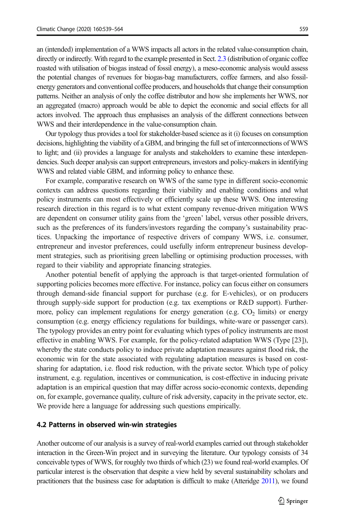an (intended) implementation of a WWS impacts all actors in the related value-consumption chain, directly or indirectly. With regard to the example presented in Sect. [2.3](#page-8-0) (distribution of organic coffee roasted with utilisation of biogas instead of fossil energy), a meso-economic analysis would assess the potential changes of revenues for biogas-bag manufacturers, coffee farmers, and also fossilenergy generators and conventional coffee producers, and households that change their consumption patterns. Neither an analysis of only the coffee distributor and how she implements her WWS, nor an aggregated (macro) approach would be able to depict the economic and social effects for all actors involved. The approach thus emphasises an analysis of the different connections between WWS and their interdependence in the value-consumption chain.

Our typology thus provides a tool for stakeholder-based science as it (i) focuses on consumption decisions, highlighting the viability of a GBM, and bringing the full set of interconnections of WWS to light; and (ii) provides a language for analysts and stakeholders to examine these interdependencies. Such deeper analysis can support entrepreneurs, investors and policy-makers in identifying WWS and related viable GBM, and informing policy to enhance these.

For example, comparative research on WWS of the same type in different socio-economic contexts can address questions regarding their viability and enabling conditions and what policy instruments can most effectively or efficiently scale up these WWS. One interesting research direction in this regard is to what extent company revenue-driven mitigation WWS are dependent on consumer utility gains from the 'green' label, versus other possible drivers, such as the preferences of its funders/investors regarding the company's sustainability practices. Unpacking the importance of respective drivers of company WWS, i.e. consumer, entrepreneur and investor preferences, could usefully inform entrepreneur business development strategies, such as prioritising green labelling or optimising production processes, with regard to their viability and appropriate financing strategies.

Another potential benefit of applying the approach is that target-oriented formulation of supporting policies becomes more effective. For instance, policy can focus either on consumers through demand-side financial support for purchase (e.g. for E-vehicles), or on producers through supply-side support for production (e.g. tax exemptions or R&D support). Furthermore, policy can implement regulations for energy generation (e.g.  $CO<sub>2</sub>$  limits) or energy consumption (e.g. energy efficiency regulations for buildings, white-ware or passenger cars). The typology provides an entry point for evaluating which types of policy instruments are most effective in enabling WWS. For example, for the policy-related adaptation WWS (Type [23]), whereby the state conducts policy to induce private adaptation measures against flood risk, the economic win for the state associated with regulating adaptation measures is based on costsharing for adaptation, i.e. flood risk reduction, with the private sector. Which type of policy instrument, e.g. regulation, incentives or communication, is cost-effective in inducing private adaptation is an empirical question that may differ across socio-economic contexts, depending on, for example, governance quality, culture of risk adversity, capacity in the private sector, etc. We provide here a language for addressing such questions empirically.

#### 4.2 Patterns in observed win-win strategies

Another outcome of our analysis is a survey of real-world examples carried out through stakeholder interaction in the Green-Win project and in surveying the literature. Our typology consists of 34 conceivable types of WWS, for roughly two thirds of which (23) we found real-world examples. Of particular interest is the observation that despite a view held by several sustainability scholars and practitioners that the business case for adaptation is difficult to make (Atteridge [2011\)](#page-23-0), we found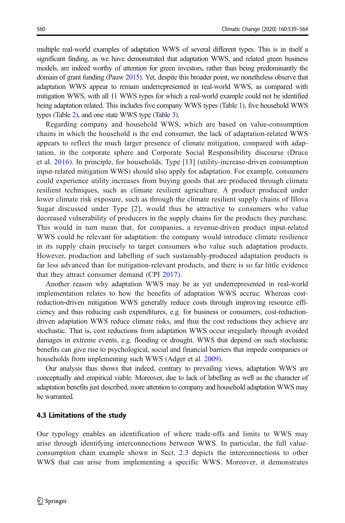multiple real-world examples of adaptation WWS of several different types. This is in itself a significant finding, as we have demonstrated that adaptation WWS, and related green business models, are indeed worthy of attention for green investors, rather than being predominantly the domain of grant funding (Pauw [2015\)](#page-24-0). Yet, despite this broader point, we nonetheless observe that adaptation WWS appear to remain underrepresented in real-world WWS, as compared with mitigation WWS, with all 11 WWS types for which a real-world example could not be identified being adaptation related. This includes five company WWS types (Table [1\)](#page-11-0), five household WWS types (Table [2\)](#page-15-0), and one state WWS type (Table [3\)](#page-18-0).

Regarding company and household WWS, which are based on value-consumption chains in which the household is the end consumer, the lack of adaptation-related WWS appears to reflect the much larger presence of climate mitigation, compared with adaptation, in the corporate sphere and Corporate Social Responsibility discourse (Druce et al. [2016](#page-23-0)). In principle, for households, Type [13] (utility-increase-driven consumption input-related mitigation WWS) should also apply for adaptation. For example, consumers could experience utility increases from buying goods that are produced through climate resilient techniques, such as climate resilient agriculture. A product produced under lower climate risk exposure, such as through the climate resilient supply chains of Illova Sugar discussed under Type [2], would thus be attractive to consumers who value decreased vulnerability of producers in the supply chains for the products they purchase. This would in turn mean that, for companies, a revenue-driven product input-related WWS could be relevant for adaptation: the company would introduce climate resilience in its supply chain precisely to target consumers who value such adaptation products. However, production and labelling of such sustainably-produced adaptation products is far less advanced than for mitigation-relevant products, and there is so far little evidence that they attract consumer demand (CPI [2017](#page-23-0)).

Another reason why adaptation WWS may be as yet underrepresented in real-world implementation relates to how the benefits of adaptation WWS accrue. Whereas costreduction-driven mitigation WWS generally reduce costs through improving resource efficiency and thus reducing cash expenditures, e.g. for business or consumers, cost-reductiondriven adaptation WWS reduce climate risks, and thus the cost reductions they achieve are stochastic. That is, cost reductions from adaptation WWS occur irregularly through avoided damages in extreme events, e.g. flooding or drought. WWS that depend on such stochastic benefits can give rise to psychological, social and financial barriers that impede companies or households from implementing such WWS (Adger et al. [2009\)](#page-23-0).

Our analysis thus shows that indeed, contrary to prevailing views, adaptation WWS are conceptually and empirical viable. Moreover, due to lack of labelling as well as the character of adaptation benefits just described, more attention to company and household adaptation WWS may be warranted.

### 4.3 Limitations of the study

Our typology enables an identification of where trade-offs and limits to WWS may arise through identifying interconnections between WWS. In particular, the full valueconsumption chain example shown in Sect. [2.3](#page-8-0) depicts the interconnections to other WWS that can arise from implementing a specific WWS. Moreover, it demonstrates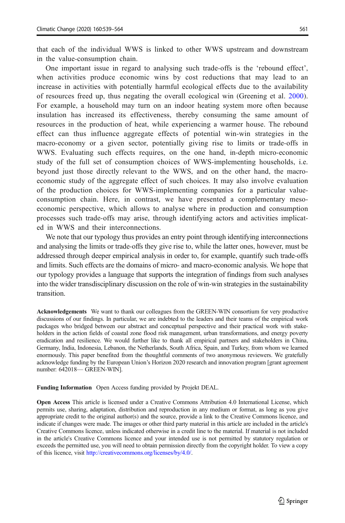One important issue in regard to analysing such trade-offs is the 'rebound effect', when activities produce economic wins by cost reductions that may lead to an increase in activities with potentially harmful ecological effects due to the availability of resources freed up, thus negating the overall ecological win (Greening et al. [2000](#page-23-0)). For example, a household may turn on an indoor heating system more often because insulation has increased its effectiveness, thereby consuming the same amount of resources in the production of heat, while experiencing a warmer house. The rebound effect can thus influence aggregate effects of potential win-win strategies in the macro-economy or a given sector, potentially giving rise to limits or trade-offs in WWS. Evaluating such effects requires, on the one hand, in-depth micro-economic study of the full set of consumption choices of WWS-implementing households, i.e. beyond just those directly relevant to the WWS, and on the other hand, the macroeconomic study of the aggregate effect of such choices. It may also involve evaluation of the production choices for WWS-implementing companies for a particular valueconsumption chain. Here, in contrast, we have presented a complementary mesoeconomic perspective, which allows to analyse where in production and consumption processes such trade-offs may arise, through identifying actors and activities implicated in WWS and their interconnections.

We note that our typology thus provides an entry point through identifying interconnections and analysing the limits or trade-offs they give rise to, while the latter ones, however, must be addressed through deeper empirical analysis in order to, for example, quantify such trade-offs and limits. Such effects are the domains of micro- and macro-economic analysis. We hope that our typology provides a language that supports the integration of findings from such analyses into the wider transdisciplinary discussion on the role of win-win strategies in the sustainability transition.

Acknowledgements We want to thank our colleagues from the GREEN-WIN consortium for very productive discussions of our findings. In particular, we are indebted to the leaders and their teams of the empirical work packages who bridged between our abstract and conceptual perspective and their practical work with stakeholders in the action fields of coastal zone flood risk management, urban transformations, and energy poverty eradication and resilience. We would further like to thank all empirical partners and stakeholders in China, Germany, India, Indonesia, Lebanon, the Netherlands, South Africa, Spain, and Turkey, from whom we learned enormously. This paper benefited from the thoughtful comments of two anonymous reviewers. We gratefully acknowledge funding by the European Union's Horizon 2020 research and innovation program [grant agreement number: 642018— GREEN-WIN].

Funding Information Open Access funding provided by Projekt DEAL.

Open Access This article is licensed under a Creative Commons Attribution 4.0 International License, which permits use, sharing, adaptation, distribution and reproduction in any medium or format, as long as you give appropriate credit to the original author(s) and the source, provide a link to the Creative Commons licence, and indicate if changes were made. The images or other third party material in this article are included in the article's Creative Commons licence, unless indicated otherwise in a credit line to the material. If material is not included in the article's Creative Commons licence and your intended use is not permitted by statutory regulation or exceeds the permitted use, you will need to obtain permission directly from the copyright holder. To view a copy of this licence, visit [http://creativecommons.org/licenses/by/4.0/.](http://creativecommons.org/licenses/by/4.0/)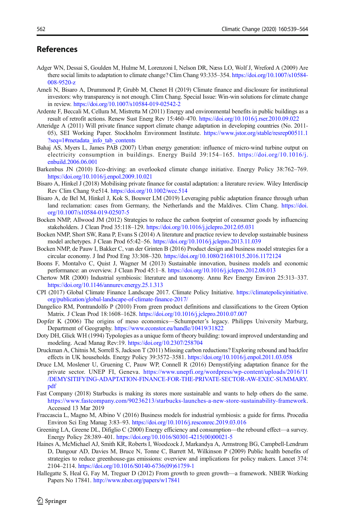### <span id="page-23-0"></span>References

- Adger WN, Dessai S, Goulden M, Hulme M, Lorenzoni I, Nelson DR, Næss LO, Wolf J, Wreford A (2009) Are there social limits to adaptation to climate change? Clim Chang 93:335–354. [https://doi.org/10.1007/s10584-](https://doi.org/10.1007/s10584-008-9520-z) [008-9520-z](https://doi.org/10.1007/s10584-008-9520-z)
- Ameli N, Bisaro A, Drummond P, Grubb M, Chenet H (2019) Climate finance and disclosure for institutional investors: why transparency is not enough. Clim Chang. Special Issue: Win-win solutions for climate change in review. <https://doi.org/10.1007/s10584-019-02542-2>
- Ardente F, Beccali M, Cellura M, Mistretta M (2011) Energy and environmental benefits in public buildings as a result of retrofit actions. Renew Sust Energ Rev 15:460–470. <https://doi.org/10.1016/j.rser.2010.09.022>
- Atteridge A (2011) Will private finance support climate change adaptation in developing countries (No. 2011- 05), SEI Working Paper. Stockholm Environment Institute. [https://www.jstor.org/stable/resrep00511.1](https://www.jstor.org/stable/resrep00511.1?seq=1#metadata_info_tab_contents) [?seq=1#metadata\\_info\\_tab\\_contents](https://www.jstor.org/stable/resrep00511.1?seq=1#metadata_info_tab_contents)
- Bahaj AS, Myers L, James PAB (2007) Urban energy generation: influence of micro-wind turbine output on electricity consumption in buildings. Energy Build 39:154–165. [https://doi.org/10.1016/j.](https://doi.org/10.1016/j.enbuild.2006.06.001) [enbuild.2006.06.001](https://doi.org/10.1016/j.enbuild.2006.06.001)
- Barkenbus JN (2010) Eco-driving: an overlooked climate change initiative. Energy Policy 38:762–769. <https://doi.org/10.1016/j.enpol.2009.10.021>
- Bisaro A, Hinkel J (2018) Mobilising private finance for coastal adaptation: a literature review. Wiley Interdiscip Rev Clim Chang 9:e514. <https://doi.org/10.1002/wcc.514>
- Bisaro A, de Bel M, Hinkel J, Kok S, Bouwer LM (2019) Leveraging public adaptation finance through urban land reclamation: cases from Germany, the Netherlands and the Maldives. Clim Chang. [https://doi.](https://doi.org/10.1007/s10584-019-02507-5) [org/10.1007/s10584-019-02507-5](https://doi.org/10.1007/s10584-019-02507-5)
- Bocken NMP, Allwood JM (2012) Strategies to reduce the carbon footprint of consumer goods by influencing stakeholders. J Clean Prod 35:118–129. <https://doi.org/10.1016/j.jclepro.2012.05.031>
- Bocken NMP, Short SW, Rana P, Evans S (2014) A literature and practice review to develop sustainable business model archetypes. J Clean Prod 65:42–56. <https://doi.org/10.1016/j.jclepro.2013.11.039>
- Bocken NMP, de Pauw I, Bakker C, van der Grinten B (2016) Product design and business model strategies for a circular economy. J Ind Prod Eng 33:308–320. <https://doi.org/10.1080/21681015.2016.1172124>
- Boons F, Montalvo C, Quist J, Wagner M (2013) Sustainable innovation, business models and economic performance: an overview. J Clean Prod 45:1–8. <https://doi.org/10.1016/j.jclepro.2012.08.013>
- Chertow MR (2000) Industrial symbiosis: literature and taxonomy. Annu Rev Energy Environ 25:313–337. <https://doi.org/10.1146/annurev.energy.25.1.313>
- CPI (2017) Global Climate Finance Landscape 2017. Climate Policy Initiative. [https://climatepolicyinitiative.](https://climatepolicyinitiative.org/publication/global-landscape-of-climate-finance-2017/) [org/publication/global-landscape-of-climate-finance-2017/](https://climatepolicyinitiative.org/publication/global-landscape-of-climate-finance-2017/)
- Dangelico RM, Pontrandolfo P (2010) From green product definitions and classifications to the Green Option Matrix. J Clean Prod 18:1608–1628. <https://doi.org/10.1016/j.jclepro.2010.07.007>
- Dopfer K (2006) The origins of meso economics—Schumpeter's legacy. Philipps University Marburg, Department of Geography. <https://www.econstor.eu/handle/10419/31822>
- Doty DH, Glick WH (1994) Typologies as a unique form of theory building: toward improved understanding and modeling. Acad Manag Rev:19. <https://doi.org/10.2307/258704>
- Druckman A, Chitnis M, Sorrell S, Jackson T (2011) Missing carbon reductions? Exploring rebound and backfire effects in UK households. Energy Policy 39:3572–3581. <https://doi.org/10.1016/j.enpol.2011.03.058>
- Druce LM, Moslener U, Gruening C, Pauw WP, Connell R (2016) Demystifying adaptation finance for the private sector. UNEP FI, Geneva. [https://www.unepfi.org/wordpress/wp-content/uploads/2016/11](https://www.unepfi.org/wordpress/wp-content/uploads/2016/11/DEMYSITIFYING-ADAPTATION-FINANCE-FOR-THE-PRIVATE-SECTOR-AW-EXEC-SUMMARY.pdf) [/DEMYSITIFYING-ADAPTATION-FINANCE-FOR-THE-PRIVATE-SECTOR-AW-EXEC-SUMMARY.](https://www.unepfi.org/wordpress/wp-content/uploads/2016/11/DEMYSITIFYING-ADAPTATION-FINANCE-FOR-THE-PRIVATE-SECTOR-AW-EXEC-SUMMARY.pdf) [pdf](https://www.unepfi.org/wordpress/wp-content/uploads/2016/11/DEMYSITIFYING-ADAPTATION-FINANCE-FOR-THE-PRIVATE-SECTOR-AW-EXEC-SUMMARY.pdf)
- Fast Company (2018) Starbucks is making its stores more sustainable and wants to help others do the same. [https://www.fastcompany.com/90236213/starbucks-launches-a-new-store-sustainability-framework.](https://www.fastcompany.com/90236213/starbucks-launches-a-new-store-sustainability-framework) Accessed 13 Mar 2019
- Fraccascia L, Magno M, Albino V (2016) Business models for industrial symbiosis: a guide for firms. Procedia Environ Sci Eng Manag 3:83–93. <https://doi.org/10.1016/j.resconrec.2019.03.016>
- Greening LA, Greene DL, Difiglio C (2000) Energy efficiency and consumption—the rebound effect—a survey. Energy Policy 28:389–401. [https://doi.org/10.1016/S0301-4215\(00\)00021-5](https://doi.org/10.1016/S0301-4215(00)00021-5)
- Haines A, McMichael AJ, Smith KR, Roberts I, Woodcock J, Markandya A, Armstrong BG, Campbell-Lendrum D, Dangour AD, Davies M, Bruce N, Tonne C, Barrett M, Wilkinson P (2009) Public health benefits of strategies to reduce greenhouse-gas emissions: overview and implications for policy makers. Lancet 374: 2104–2114. [https://doi.org/10.1016/S0140-6736\(09\)61759-1](https://doi.org/10.1016/S0140-6736(09)61759-1)
- Hallegatte S, Heal G, Fay M, Treguer D (2012) From growth to green growth—a framework. NBER Working Papers No 17841. <http://www.nber.org/papers/w17841>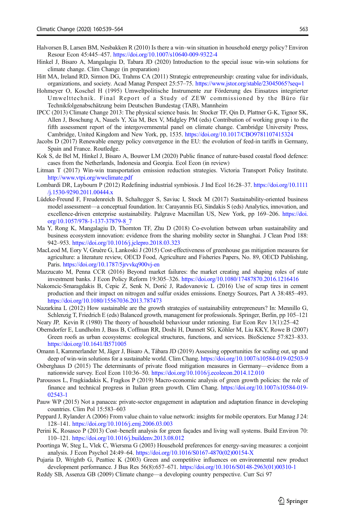- <span id="page-24-0"></span>Halvorsen B, Larsen BM, Nesbakken R (2010) Is there a win–win situation in household energy policy? Environ Resour Econ 45:445–457. <https://doi.org/10.1007/s10640-009-9322-4>
- Hinkel J, Bisaro A, Mangalagiu D, Tabara JD (2020) Introduction to the special issue win-win solutions for climate change. Clim Change (in preparation)
- Hitt MA, Ireland RD, Sirmon DG, Trahms CA (2011) Strategic entrepreneurship: creating value for individuals, organizations, and society. Acad Manag Perspect 25:57–75. <https://www.jstor.org/stable/23045065?seq=1>
- Hohmeyer O, Koschel H (1995) Umweltpolitische Instrumente zur Förderung des Einsatzes integrierter Umwelttechnik. Final Report of a Study of ZEW commissioned by the Büro für Technikfolgenabschätzung beim Deutschen Bundestag (TAB), Mannheim
- IPCC (2013) Climate Change 2013: The physical science basis. In: Stocker TF, Qin D, Plattner G-K, Tignor SK, Allen J, Boschung A, Nauels Y, Xia M, Bex V, Midgley PM (eds) Contribution of working group i to the fifth assessment report of the intergovernmental panel on climate change. Cambridge University Press, Cambridge, United Kingdom and New York, pp, 1535. <https://doi.org/10.1017/CBO9781107415324>
- Jacobs D (2017) Renewable energy policy convergence in the EU: the evolution of feed-in tariffs in Germany, Spain and France. Routledge.
- Kok S, de Bel M, Hinkel J, Bisaro A, Bouwer LM (2020) Public finance of nature-based coastal flood defence: cases from the Netherlands, Indonesia and Georgia. Ecol Econ (in review)
- Litman T (2017) Win-win transportation emission reduction strategies. Victoria Transport Policy Institute. <http://www.vtpi.org/wwclimate.pdf>
- Lombardi DR, Laybourn P (2012) Redefining industrial symbiosis. J Ind Ecol 16:28–37. [https://doi.org/10.1111](https://doi.org/10.1111/j.1530-9290.2011.00444.x) [/j.1530-9290.2011.00444.x](https://doi.org/10.1111/j.1530-9290.2011.00444.x)
- Lüdeke-Freund F, Freudenreich B, Schaltegger S, Saviuc I, Stock M (2017) Sustainability-oriented business model assessment—a conceptual foundation. In: Carayannis EG, Sindakis S (eds) Analytics, innovation, and excellence-driven enterprise sustainability. Palgrave Macmillan US, New York, pp 169–206. [https://doi.](https://doi.org/10.1057/978-1-137-37879-8_7) [org/10.1057/978-1-137-37879-8\\_7](https://doi.org/10.1057/978-1-137-37879-8_7)
- Ma Y, Rong K, Mangalagiu D, Thornton TF, Zhu D (2018) Co-evolution between urban sustainability and business ecosystem innovation: evidence from the sharing mobility sector in Shanghai. J Clean Prod 188: 942–953. <https://doi.org/10.1016/j.jclepro.2018.03.323>
- MacLeod M, Eory V, Gruère G, Lankoski J (2015) Cost-effectiveness of greenhouse gas mitigation measures for agriculture: a literature review, OECD Food, Agriculture and Fisheries Papers, No. 89, OECD Publishing, Paris. <https://doi.org/10.1787/5jrvvkq900vj-en>
- Mazzucato M, Penna CCR (2016) Beyond market failures: the market creating and shaping roles of state investment banks. J Econ Policy Reform 19:305–326. <https://doi.org/10.1080/17487870.2016.1216416>
- Nakomcic-Smaragdakis B, Cepic Z, Senk N, Dorić J, Radovanovic L (2016) Use of scrap tires in cement production and their impact on nitrogen and sulfur oxides emissions. Energy Sources, Part A 38:485–493. <https://doi.org/10.1080/15567036.2013.787473>
- Nazarkina L (2012) How sustainable are the growth strategies of sustainability entrepreneurs? In: Mennillo G, Schlenzig T, Friedrich E (eds) Balanced growth, management for professionals. Springer, Berlin, pp 105–121
- Neary JP, Kevin R (1980) The theory of household behaviour under rationing. Eur Econ Rev 13(1):25–42
- Oberndorfer E, Lundholm J, Bass B, Coffman RR, Doshi H, Dunnett SG, Köhler M, Liu KKY, Rowe B (2007) Green roofs as urban ecosystems: ecological structures, functions, and services. BioScience 57:823–833. <https://doi.org/10.1641/B571005>
- Omann I, Kammerlander M, Jäger J, Bisaro A, Tàbara JD (2019) Assessing opportunities for scaling out, up and deep of win-win solutions for a sustainable world. Clim Chang. <https://doi.org/10.1007/s10584-019-02503-9>
- Osberghaus D (2015) The determinants of private flood mitigation measures in Germany—evidence from a nationwide survey. Ecol Econ 110:36–50. <https://doi.org/10.1016/j.ecolecon.2014.12.010>
- Paroussos L, Fragkiadakis K, Fragkos P (2019) Macro-economic analysis of green growth policies: the role of finance and technical progress in Italian green growth. Clim Chang. [https://doi.org/10.1007/s10584-019-](https://doi.org/10.1007/s10584-019-02543-1) [02543-1](https://doi.org/10.1007/s10584-019-02543-1)
- Pauw WP (2015) Not a panacea: private-sector engagement in adaptation and adaptation finance in developing countries. Clim Pol 15:583–603
- Peppard J, Rylander A (2006) From value chain to value network: insights for mobile operators. Eur Manag J 24: 128–141. <https://doi.org/10.1016/j.emj.2006.03.003>
- Perini K, Rosasco P (2013) Cost–benefit analysis for green façades and living wall systems. Build Environ 70: 110–121. <https://doi.org/10.1016/j.buildenv.2013.08.012>
- Poortinga W, Steg L, Vlek C, Wiersma G (2003) Household preferences for energy-saving measures: a conjoint analysis. J Econ Psychol 24:49–64. [https://doi.org/10.1016/S0167-4870\(02\)00154-X](https://doi.org/10.1016/S0167-4870(02)00154-X)
- Pujaria D, Wrightb G, Peattiec K (2003) Green and competitive influences on environmental new product development performance. J Bus Res 56(8):657–671. [https://doi.org/10.1016/S0148-2963\(01\)00310-1](https://doi.org/10.1016/S0148-2963(01)00310-1)
- Reddy SB, Assenza GB (2009) Climate change—a developing country perspective. Curr Sci 97